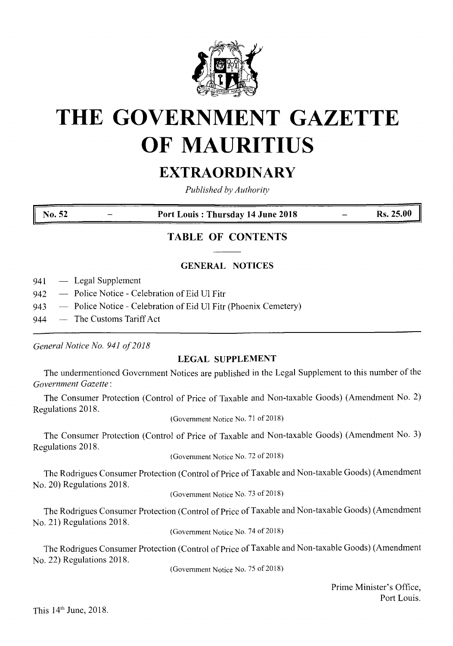

# **THE GOVERNMENT GAZETTE OF MAURITIUS**

## EXTRAORDINARY

*Published by Authority*

**No. <sup>52</sup> - Port Louis : Thursday <sup>14</sup> June <sup>2018</sup>** — **Rs. 25.00**

### **TABLE OF CONTENTS**

#### **GENERAL NOTICES**

941 — Legal Supplement

- 942 Police Notice Celebration of Eid Ul Fitr
- 943 Police Notice Celebration of Eid Ul Fitr (Phoenix Cemetery)
- 944 The Customs Tariff Act

*General Notice No. 941 of2018*

#### **LEGAL SUPPLEMENT**

The undermentioned Government Notices are published in the Legal Supplement to this number of the *Government Gazette:*

The Consumer Protection (Control of Price of Taxable and Non-taxable Goods) (Amendment No. 2) Regulations 2018.

(Government Notice No. 71 of 2018)

The Consumer Protection (Control of Price of Taxable and Non-taxable Goods) (Amendment No. 3) Regulations 2018.

(Government Notice No. 72 of 2018)

The Rodrigues Consumer Protection (Control of Price of Taxable and Non-taxable Goods) (Amendment No. 20) Regulations 2018.

(Government Notice No. 73 of 2018)

The Rodrigues Consumer Protection (Control of Price of Taxable and Non-taxable Goods) (Amendment No. 21) Regulations 2018.

(Government Notice No. 74 of 2018)

The Rodrigues Consumer Protection (Control of Price of Taxable and Non-taxable Goods) (Amendment No. 22) Regulations 2018.

(Government Notice No. 75 of 2018)

Prime Minister's Office, Port Louis.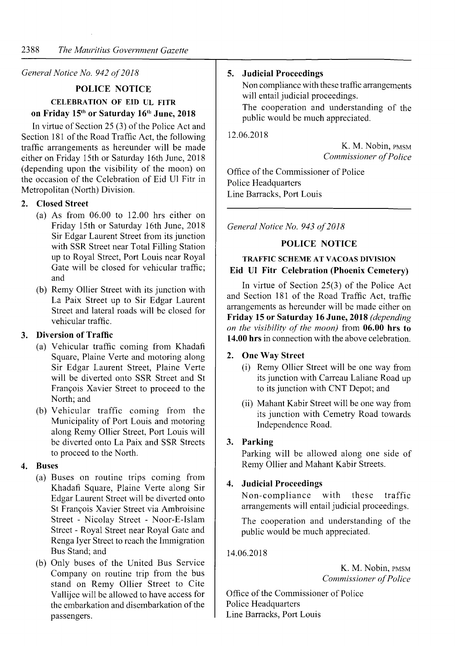#### *General Notice No. 942 of2018*

#### **POLICE NOTICE CELEBRATION OF EID UL FITR**

#### **on Friday 15th or Saturday 16\*[\\*](#page-1-0)<sup>11</sup> June, 2018**

In virtue of Section  $25(3)$  of the Police Act and Section 181 of the Road Traffic Act, the following traffic arrangements as hereunder will be made either on Friday 15th or Saturday 16th June, 2018 (depending upon the visibility of the moon) on the occasion of the Celebration of Eid U1 Fitr in Metropolitan (North) Division.

#### **2. Closed Street**

- (a) As from 06.00 to 12.00 hrs either on Friday 15th or Saturday 16th June, 2018 Sir Edgar Laurent Street from its junction with SSR Street near Total Filling Station up to Royal Street, Port Louis near Royal Gate will be closed for vehicular traffic; and
- (b) Remy Ollier Street with its junction with La Paix Street up to Sir Edgar Laurent Street and lateral roads will be closed for vehicular traffic.

#### **3. Diversion of Traffic**

- (a) Vehicular traffic coming from Khadafi Square, Plaine Verte and motoring along Sir Edgar Laurent Street, Plaine Verte will be diverted onto SSR Street and St Franqois Xavier Street to proceed to the North; and
- (b) Vehicular traffic coming from the Municipality of Port Louis and motoring along Remy Ollier Street, Port Louis will be diverted onto La Paix and SSR Streets to proceed to the North.

#### **4. Buses**

- (a) Buses on routine trips coming from Khadafi Square, Plaine Verte along Sir Edgar Laurent Street will be diverted onto St Francois Xavier Street via Ambroisine Street - Nicolay Street - Noor-E-Islam Street - Royal Street near Royal Gate and Renga Iyer Street to reach the Immigration Bus Stand; and
- (b) Only buses of the United Bus Service Company on routine trip from the bus stand on Remy Ollier Street to Cite Vallijee will be allowed to have access for the embarkation and disembarkation of the passengers.

#### **5. Judicial Proceedings**

Non compliance with these traffic arrangements will entail judicial proceedings.

The cooperation and understanding of the public would be much appreciated.

12.06.2018

K. M. Nobin, PMSM *Commissioner ofPolice*

Office of the Commissioner of Police Police Headquarters Line Barracks, Port Louis

*General Notice No. 943 of2018*

#### **POLICE NOTICE**

#### **TRAFFIC SCHEME AT VACOAS DIVISION Eid U1 Fitr Celebration (Phoenix Cemetery)**

In virtue of Section 25(3) of the Police Act and Section 181 of the Road Traffic Act, traffic arrangements as hereunder will be made either on **Friday 15 or Saturday 16 June, 2018** *(depending on the visibility of the moon)* from **06.00 hrs to 14.00 hrs** in connection with the above celebration.

#### **2. One Way Street**

- (i) Remy Ollier Street will be one way from its junction with Carreau Laliane Road up to its junction with CNT Depot; and
- <span id="page-1-0"></span>(ii) Mahant Kabir Street will be one way from its junction with Cemetry Road towards Independence Road.

#### **3. Parking**

Parking will be allowed along one side of Remy Ollier and Mahant Kabir Streets.

#### **4. Judicial Proceedings**

Non-compliance with these traffic arrangements will entail judicial proceedings.

The cooperation and understanding of the public would be much appreciated.

#### 14.06.2018

K. M. Nobin, PMSM *Commissioner ofPolice*

Office of the Commissioner of Police Police Headquarters Line Barracks, Port Louis